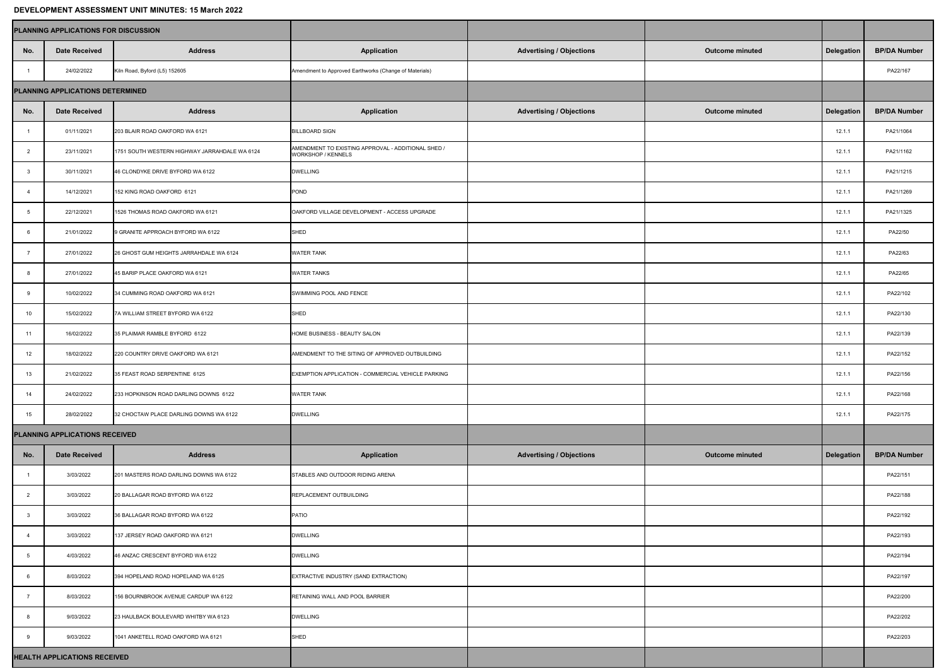## **DEVELOPMENT ASSESSMENT UNIT MINUTES: 15 March 2022**

|                                         | <b>PLANNING APPLICATIONS FOR DISCUSSION</b> |                                               |                                                                                 |                                 |                        |            |                     |
|-----------------------------------------|---------------------------------------------|-----------------------------------------------|---------------------------------------------------------------------------------|---------------------------------|------------------------|------------|---------------------|
| No.                                     | <b>Date Received</b>                        | <b>Address</b>                                | <b>Application</b>                                                              | <b>Advertising / Objections</b> | <b>Outcome minuted</b> | Delegation | <b>BP/DA Number</b> |
|                                         | 24/02/2022                                  | Kiln Road, Byford (L5) 152605                 | Amendment to Approved Earthworks (Change of Materials)                          |                                 |                        |            | PA22/167            |
| <b>PLANNING APPLICATIONS DETERMINED</b> |                                             |                                               |                                                                                 |                                 |                        |            |                     |
| No.                                     | <b>Date Received</b>                        | <b>Address</b>                                | <b>Application</b>                                                              | <b>Advertising / Objections</b> | <b>Outcome minuted</b> | Delegation | <b>BP/DA Number</b> |
|                                         | 01/11/2021                                  | 203 BLAIR ROAD OAKFORD WA 6121                | <b>BILLBOARD SIGN</b>                                                           |                                 |                        | 12.1.1     | PA21/1064           |
|                                         | 23/11/2021                                  | 1751 SOUTH WESTERN HIGHWAY JARRAHDALE WA 6124 | AMENDMENT TO EXISTING APPROVAL - ADDITIONAL SHED /<br><b>WORKSHOP / KENNELS</b> |                                 |                        | 12.1.1     | PA21/1162           |
|                                         | 30/11/2021                                  | 46 CLONDYKE DRIVE BYFORD WA 6122              | <b>DWELLING</b>                                                                 |                                 |                        | 12.1.1     | PA21/1215           |
|                                         | 14/12/2021                                  | 152 KING ROAD OAKFORD 6121                    | POND                                                                            |                                 |                        | 12.1.1     | PA21/1269           |
|                                         | 22/12/2021                                  | 1526 THOMAS ROAD OAKFORD WA 6121              | OAKFORD VILLAGE DEVELOPMENT - ACCESS UPGRADE                                    |                                 |                        | 12.1.1     | PA21/1325           |
|                                         | 21/01/2022                                  | 9 GRANITE APPROACH BYFORD WA 6122             | SHED                                                                            |                                 |                        | 12.1.1     | PA22/50             |
|                                         | 27/01/2022                                  | 26 GHOST GUM HEIGHTS JARRAHDALE WA 6124       | <b>WATER TANK</b>                                                               |                                 |                        | 12.1.1     | PA22/63             |
|                                         | 27/01/2022                                  | 45 BARIP PLACE OAKFORD WA 6121                | <b>WATER TANKS</b>                                                              |                                 |                        | 12.1.1     | PA22/65             |
|                                         | 10/02/2022                                  | 34 CUMMING ROAD OAKFORD WA 6121               | SWIMMING POOL AND FENCE                                                         |                                 |                        | 12.1.1     | PA22/102            |
| 10                                      | 15/02/2022                                  | 7A WILLIAM STREET BYFORD WA 6122              | <b>SHED</b>                                                                     |                                 |                        | 12.1.1     | PA22/130            |
| 11                                      | 16/02/2022                                  | 35 PLAIMAR RAMBLE BYFORD 6122                 | HOME BUSINESS - BEAUTY SALON                                                    |                                 |                        | 12.1.1     | PA22/139            |
| 12                                      | 18/02/2022                                  | 220 COUNTRY DRIVE OAKFORD WA 6121             | AMENDMENT TO THE SITING OF APPROVED OUTBUILDING                                 |                                 |                        | 12.1.1     | PA22/152            |
| 13                                      | 21/02/2022                                  | 35 FEAST ROAD SERPENTINE 6125                 | EXEMPTION APPLICATION - COMMERCIAL VEHICLE PARKING                              |                                 |                        | 12.1.1     | PA22/156            |
| 14                                      | 24/02/2022                                  | 233 HOPKINSON ROAD DARLING DOWNS 6122         | <b>WATER TANK</b>                                                               |                                 |                        | 12.1.1     | PA22/168            |
| 15                                      | 28/02/2022                                  | 32 CHOCTAW PLACE DARLING DOWNS WA 6122        | <b>DWELLING</b>                                                                 |                                 |                        | 12.1.1     | PA22/175            |
| <b>PLANNING APPLICATIONS RECEIVED</b>   |                                             |                                               |                                                                                 |                                 |                        |            |                     |
| No.                                     | <b>Date Received</b>                        | <b>Address</b>                                | <b>Application</b>                                                              | <b>Advertising / Objections</b> | <b>Outcome minuted</b> | Delegation | <b>BP/DA Number</b> |
|                                         | 3/03/2022                                   | 201 MASTERS ROAD DARLING DOWNS WA 6122        | STABLES AND OUTDOOR RIDING ARENA                                                |                                 |                        |            | PA22/151            |
|                                         | 3/03/2022                                   | 20 BALLAGAR ROAD BYFORD WA 6122               | <b>REPLACEMENT OUTBUILDING</b>                                                  |                                 |                        |            | PA22/188            |
|                                         | 3/03/2022                                   | 36 BALLAGAR ROAD BYFORD WA 6122               | PATIO                                                                           |                                 |                        |            | PA22/192            |
|                                         | 3/03/2022                                   | 137 JERSEY ROAD OAKFORD WA 6121               | <b>DWELLING</b>                                                                 |                                 |                        |            | PA22/193            |
|                                         | 4/03/2022                                   | 46 ANZAC CRESCENT BYFORD WA 6122              | <b>DWELLING</b>                                                                 |                                 |                        |            | PA22/194            |
|                                         | 8/03/2022                                   | 394 HOPELAND ROAD HOPELAND WA 6125            | EXTRACTIVE INDUSTRY (SAND EXTRACTION)                                           |                                 |                        |            | PA22/197            |
|                                         | 8/03/2022                                   | 156 BOURNBROOK AVENUE CARDUP WA 6122          | <b>RETAINING WALL AND POOL BARRIER</b>                                          |                                 |                        |            | PA22/200            |
|                                         | 9/03/2022                                   | 23 HAULBACK BOULEVARD WHITBY WA 6123          | <b>DWELLING</b>                                                                 |                                 |                        |            | PA22/202            |
|                                         | 9/03/2022                                   | 1041 ANKETELL ROAD OAKFORD WA 6121            | SHED                                                                            |                                 |                        |            | PA22/203            |
|                                         | <b>HEALTH APPLICATIONS RECEIVED</b>         |                                               |                                                                                 |                                 |                        |            |                     |